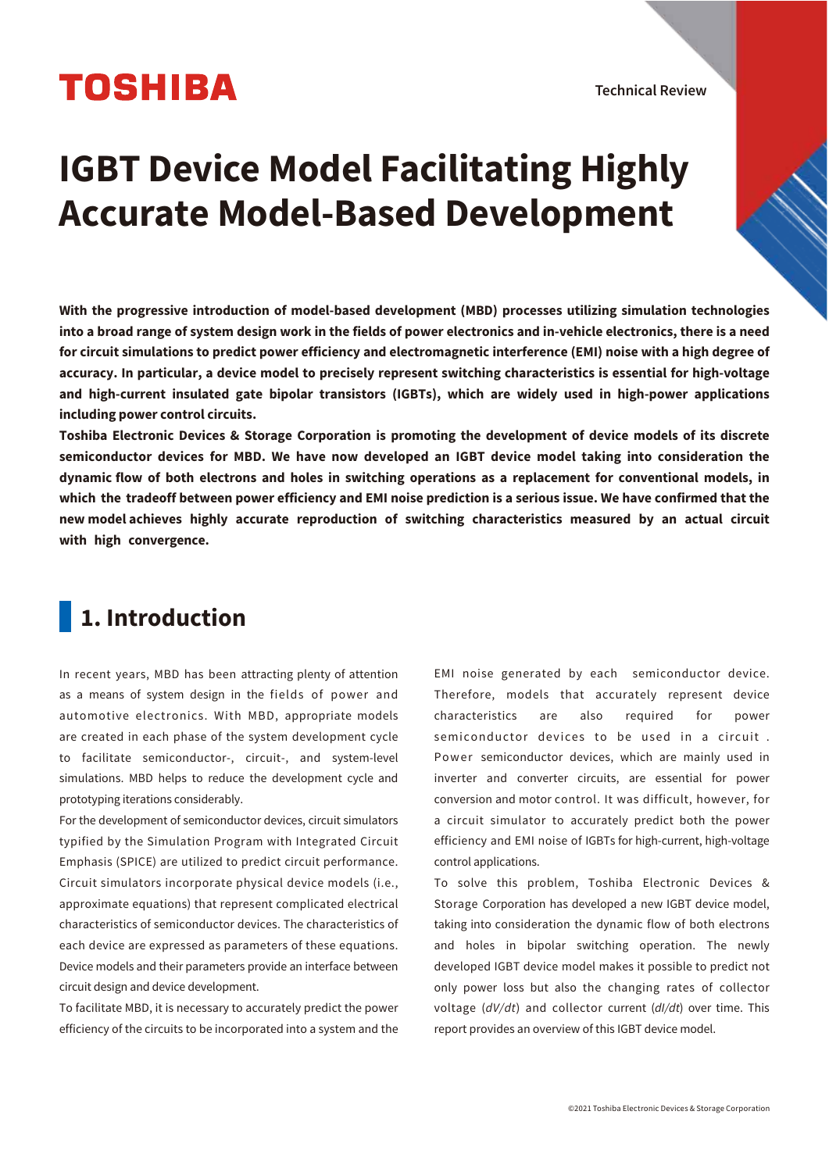# **TOSHIBA**

Technical Review

# **IGBT Device Model Facilitating Highly Accurate Model-Based Development**

**With the progressive introduction of model-based development (MBD) processes utilizing simulation technologies into a broad range of system design work in the fields of power electronics and in-vehicle electronics, there is a need for circuit simulations to predict power efficiency and electromagnetic interference (EMI) noise with a high degree of accuracy. In particular, a device model to precisely represent switching characteristics is essential for high-voltage and high-current insulated gate bipolar transistors (IGBTs), which are widely used in high-power applications including power control circuits.**

**Toshiba Electronic Devices & Storage Corporation is promoting the development of device models of its discrete semiconductor devices for MBD. We have now developed an IGBT device model taking into consideration the dynamic flow of both electrons and holes in switching operations as a replacement for conventional models, in which the tradeoff between power efficiency and EMI noise prediction is a serious issue. We have confirmed that the new model achieves highly accurate reproduction of switching characteristics measured by an actual circuit with high convergence.**

# **1. Introduction**

In recent years, MBD has been attracting plenty of attention as a means of system design in the fields of power and automotive electronics. With MBD, appropriate models are created in each phase of the system development cycle to facilitate semiconductor-, circuit-, and system-level simulations. MBD helps to reduce the development cycle and prototyping iterations considerably.

For the development of semiconductor devices, circuit simulators typified by the Simulation Program with Integrated Circuit Emphasis (SPICE) are utilized to predict circuit performance. Circuit simulators incorporate physical device models (i.e., approximate equations) that represent complicated electrical characteristics of semiconductor devices. The characteristics of each device are expressed as parameters of these equations. Device models and their parameters provide an interface between circuit design and device development.

To facilitate MBD, it is necessary to accurately predict the power efficiency of the circuits to be incorporated into a system and the EMI noise generated by each semiconductor device. Therefore, models that accurately represent device characteristics are also required for power semiconductor devices to be used in a circuit . Power semiconductor devices, which are mainly used in inverter and converter circuits, are essential for power conversion and motor control. It was difficult, however, for a circuit simulator to accurately predict both the power efficiency and EMI noise of IGBTs for high-current, high-voltage control applications.

To solve this problem, Toshiba Electronic Devices & Storage Corporation has developed a new IGBT device model, taking into consideration the dynamic flow of both electrons and holes in bipolar switching operation. The newly developed IGBT device model makes it possible to predict not only power loss but also the changing rates of collector voltage (*dV/dt*) and collector current (*dI/dt*) over time. This report provides an overview of this IGBT device model.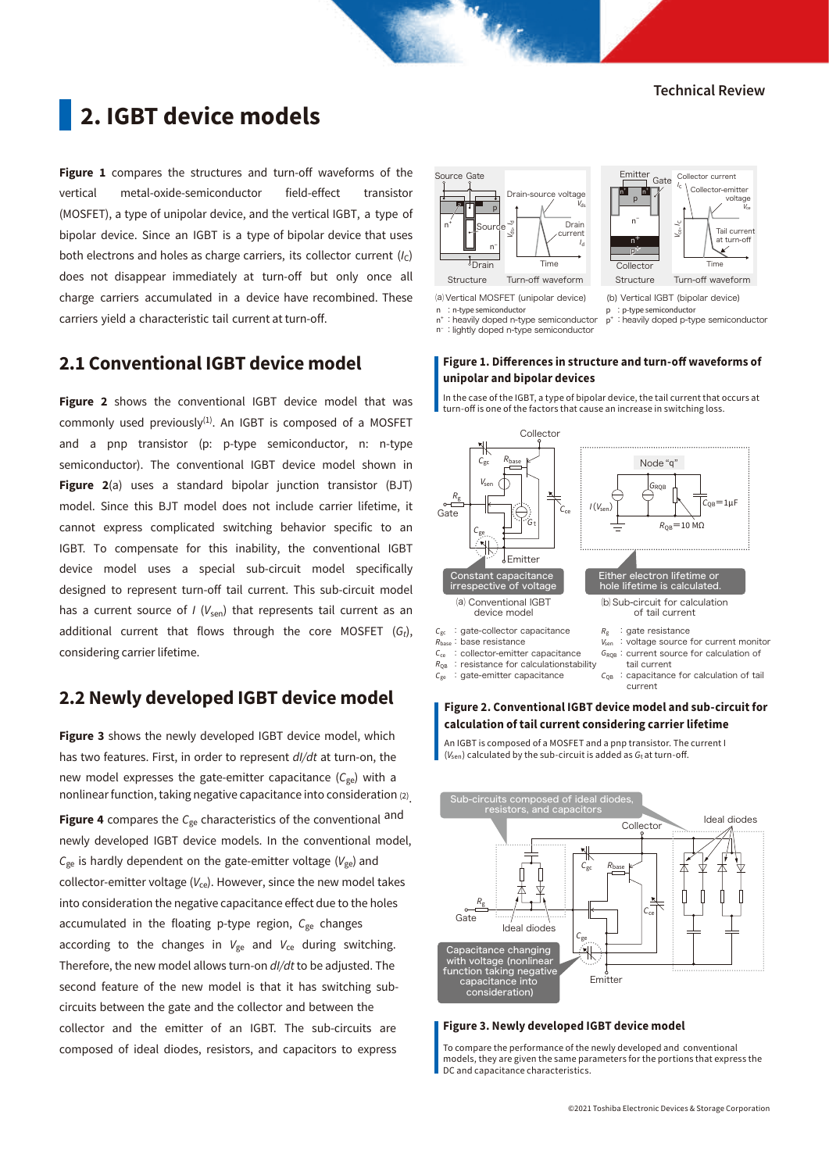Collector current *<sup>I</sup>*<sup>C</sup> Collector-emitter voltage

Time

Tail current at turn-off

# **2. IGBT device models**

**Figure 1** compares the structures and turn-off waveforms of the vertical metal-oxide-semiconductor field-effect transistor (MOSFET), a type of unipolar device, and the vertical IGBT, a type of bipolar device. Since an IGBT is a type of bipolar device that uses both electrons and holes as charge carriers, its collector current (/c) does not disappear immediately at turn-off but only once all charge carriers accumulated in a device have recombined. These carriers yield a characteristic tail current at turn-off.

# **2.1 Conventional IGBT device model**

**Figure 2** shows the conventional IGBT device model that was commonly used previously $^{(1)}$ . An IGBT is composed of a MOSFET and a pnp transistor (p: p-type semiconductor, n: n-type semiconductor). The conventional IGBT device model shown in **Figure 2**(a) uses a standard bipolar junction transistor (BJT) model. Since this BJT model does not include carrier lifetime, it cannot express complicated switching behavior specific to an IGBT. To compensate for this inability, the conventional IGBT device model uses a special sub-circuit model specifically designed to represent turn-off tail current. This sub-circuit model has a current source of *I* (*V*<sub>sen</sub>) that represents tail current as an additional current that flows through the core MOSFET (*Gt*), considering carrier lifetime.

# **2.2 Newly developed IGBT device model**

**Figure 3** shows the newly developed IGBT device model, which has two features. First, in order to represent *dI/dt* at turn-on, the new model expresses the gate-emitter capacitance (C<sub>ge</sub>) with a nonlinear function, taking negative capacitance into consideration (2) . **Figure 4** compares the *C*<sub>ge</sub> characteristics of the conventional and newly developed IGBT device models. In the conventional model,  $C_{ge}$  is hardly dependent on the gate-emitter voltage ( $V_{ge}$ ) and collector-emitter voltage  $(V_{ce})$ . However, since the new model takes into consideration the negative capacitance effect due to the holes accumulated in the floating p-type region, C<sub>ge</sub> changes according to the changes in  $V_{ge}$  and  $V_{ce}$  during switching. Therefore, the new model allows turn-on *dI/dt* to be adjusted. The second feature of the new model is that it has switching subcircuits between the gate and the collector and between the collector and the emitter of an IGBT. The sub-circuits are composed of ideal diodes, resistors, and capacitors to express



⒜ Vertical MOSFET (unipolar device)

n : n-type semiconductor

: heavily doped n-type semiconductor

n– :lightly doped n-type semiconductor

# p+:heavily doped p-type semiconductor

p : p-type semiconductor

Collector

Emitter

Gate

 $\lambda$ 

n+ n+ p nー n<sup>+</sup>  $p^+$ 

## Figure 1. Differences in structure and turn-off waveforms of **unipolar and bipolar devices**

In the case of the IGBT, a type of bipolar device, the tail current that occurs at turn-off is one of the factors that cause an increase in switching loss.



## **Figure 2. Conventional IGBT device model and sub-circuit for calculation of tail current considering carrier lifetime**

An IGBT is composed of a MOSFET and a pnp transistor. The current I  $(V_{\text{sen}})$  calculated by the sub-circuit is added as  $G_{\text{t}}$  at turn-off.



#### **Figure 3. Newly developed IGBT device model**

To compare the performance of the newly developed and conventional models, they are given the same parameters for the portions that express the DC and capacitance characteristics.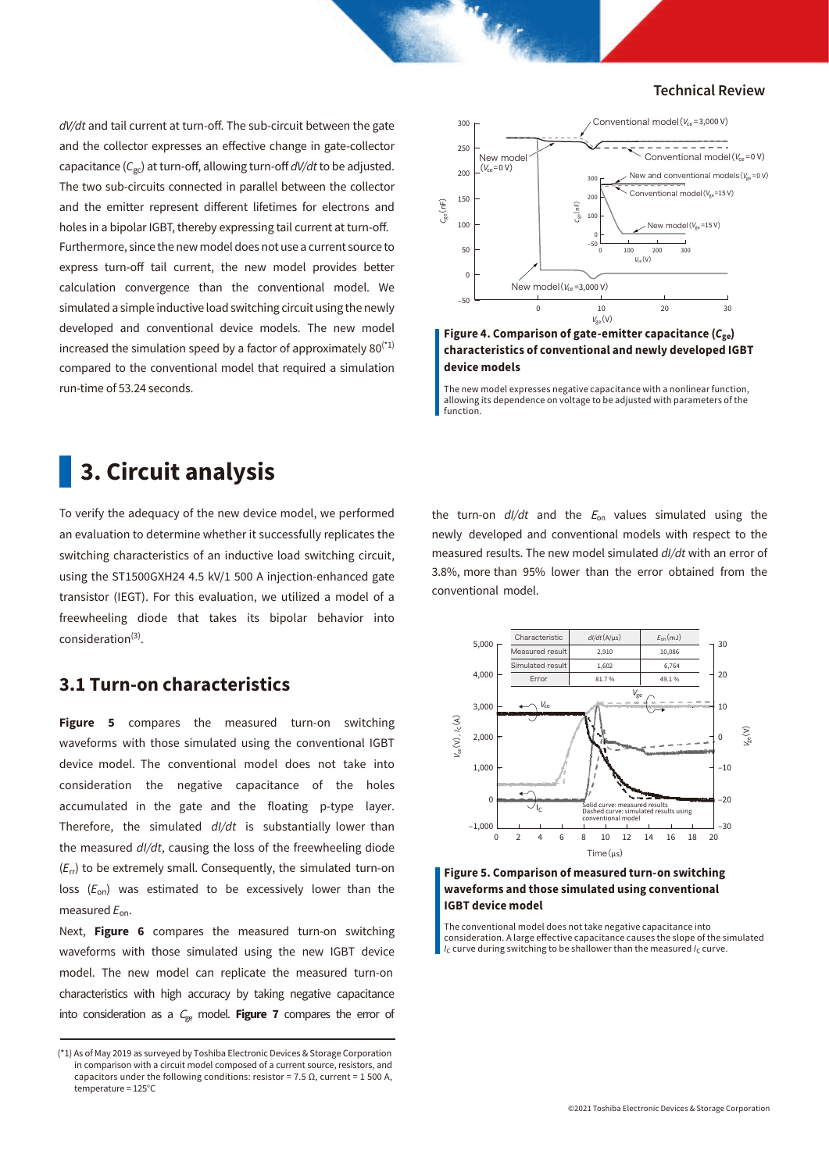*dV/dt* and tail current at turn-off. The sub-circuit between the gate and the collector expresses an effective change in gate-collector capacitance ( $C_{gc}$ ) at turn-off, allowing turn-off *dV/dt* to be adjusted. The two sub-circuits connected in parallel between the collector and the emitter represent different lifetimes for electrons and holes in a bipolar IGBT, thereby expressing tail current at turn-off. Furthermore, since the new model does not use a current source to express turn-off tail current, the new model provides better calculation convergence than the conventional model. We simulated a simple inductive load switching circuit using the newly developed and conventional device models. The new model increased the simulation speed by a factor of approximately  $80^{(1)}$ compared to the conventional model that required a simulation run-time of 53.24 seconds.

# **3. Circuit analysis**

To verify the adequacy of the new device model, we performed an evaluation to determine whether it successfully replicates the switching characteristics of an inductive load switching circuit, using the ST1500GXH24 4.5 kV/1 500 A injection-enhanced gate transistor (IEGT). For this evaluation, we utilized a model of a freewheeling diode that takes its bipolar behavior into consideration<sup>(3)</sup>.

# **3.1 Turn-on characteristics**

**Figure 5** compares the measured turn-on switching waveforms with those simulated using the conventional IGBT device model. The conventional model does not take into consideration the negative capacitance of the holes accumulated in the gate and the floating p-type layer. Therefore, the simulated *dI/dt* is substantially lower than the measured *dI/dt*, causing the loss of the freewheeling diode (*E*rr) to be extremely small. Consequently, the simulated turn-on loss (*E*on) was estimated to be excessively lower than the measured *E*on.

Next, **Figure 6** compares the measured turn-on switching waveforms with those simulated using the new IGBT device model. The new model can replicate the measured turn-on characteristics with high accuracy by taking negative capacitance into consideration as a  $C_{ge}$  model. **Figure 7** compares the error of



**Figure 4. Comparison of gate-emitter capacitance (***C***ge) characteristics of conventional and newly developed IGBT device models**

The new model expresses negative capacitance with a nonlinear function, allowing its dependence on voltage to be adjusted with parameters of the function.

the turn-on  $dl/dt$  and the  $E_{on}$  values simulated using the newly developed and conventional models with respect to the measured results. The new model simulated *dI/dt* with an error of 3.8%, more than 95% lower than the error obtained from the conventional model.



**Figure 5. Comparison of measured turn-on switching waveforms and those simulated using conventional IGBT device model**

The conventional model does not take negative capacitance into consideration. A large effective capacitance causes the slope of the simulated *I*<sub>C</sub> curve during switching to be shallower than the measured *I*<sub>C</sub> curve.

<sup>(\*1)</sup> As of May 2019 as surveyed by Toshiba Electronic Devices & Storage Corporation in comparison with a circuit model composed of a current source, resistors, and capacitors under the following conditions: resistor =  $7.5 \Omega$ , current = 1 500 A, temperature = 125°C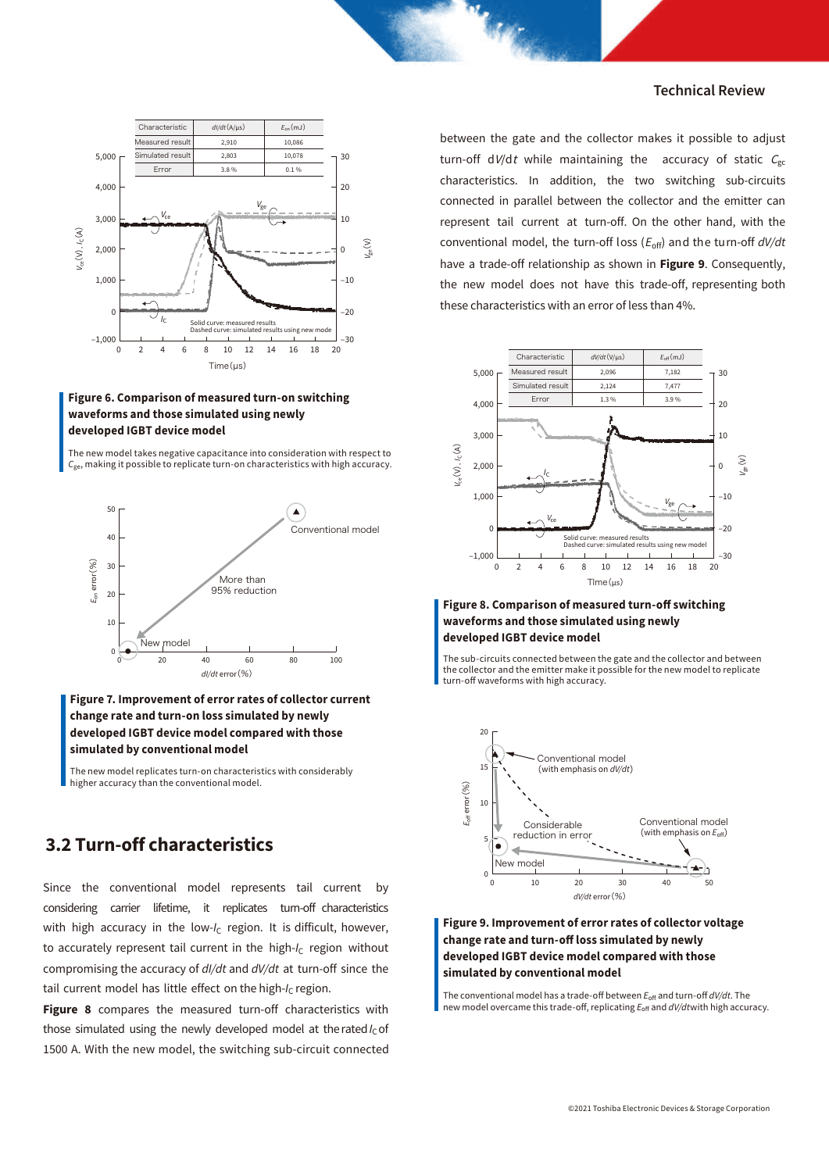

## **Figure 6. Comparison of measured turn-on switching waveforms and those simulated using newly developed IGBT device model**

The new model takes negative capacitance into consideration with respect to *C*ge, making it possible to replicate turn-on characteristics with high accuracy.



## **Figure 7. Improvement of error rates of collector current change rate and turn-on loss simulated by newly developed IGBT device model compared with those simulated by conventional model**

The new model replicates turn-on characteristics with considerably higher accuracy than the conventional model.

# **3.2 Turn-off characteristics**

Since the conventional model represents tail current by considering carrier lifetime, it replicates turn-off characteristics with high accuracy in the low-I<sub>C</sub> region. It is difficult, however, to accurately represent tail current in the high-I<sub>C</sub> region without compromising the accuracy of *dI/dt* and *dV/dt* at turn-off since the tail current model has little effect on the high-*I<sub>C</sub>* region.

**Figure 8** compares the measured turn-off characteristics with those simulated using the newly developed model at the rated  $I_c$  of 1500 A. With the new model, the switching sub-circuit connected

between the gate and the collector makes it possible to adjust turn-off dV/dt while maintaining the accuracy of static  $C_{gc}$ characteristics. In addition, the two switching sub-circuits connected in parallel between the collector and the emitter can represent tail current at turn-off. On the other hand, with the conventional model, the turn-off loss (*E*off) and the turn-off *dV/dt* have a trade-off relationship as shown in **Figure 9**. Consequently, the new model does not have this trade-off, representing both these characteristics with an error of less than 4%.



#### **Figure 8. Comparison of measured turn-off switching waveforms and those simulated using newly developed IGBT device model**

The sub-circuits connected between the gate and the collector and between the collector and the emitter make it possible for the new model to replicate turn-off waveforms with high accuracy.



### **Figure 9. Improvement of error rates of collector voltage**  change rate and turn-off loss simulated by newly **developed IGBT device model compared with those simulated by conventional model**

The conventional model has a trade-off between  $E_{\text{off}}$  and turn-off *dV/dt*. The new model overcame this trade-off, replicating  $E_{\text{off}}$  and *dV/dtwith high accuracy*.